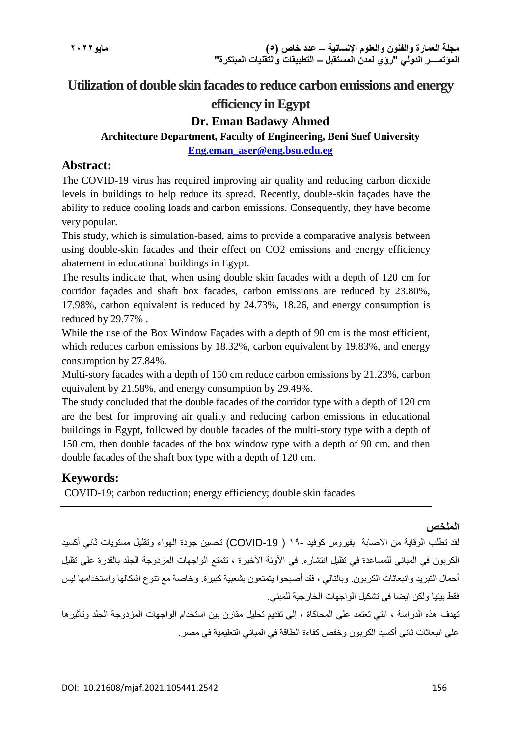# **Utilization of double skin facades to reduce carbon emissions and energy**

# **efficiency in Egypt**

# **Dr. Eman Badawy Ahmed**

**Architecture Department, Faculty of Engineering, Beni Suef University**

**[Eng.eman\\_aser@eng.bsu.edu.eg](mailto:Eng.eman_aser@eng.bsu.edu.eg)**

### **Abstract:**

The COVID-19 virus has required improving air quality and reducing carbon dioxide levels in buildings to help reduce its spread. Recently, double-skin façades have the ability to reduce cooling loads and carbon emissions. Consequently, they have become very popular.

This study, which is simulation-based, aims to provide a comparative analysis between using double-skin facades and their effect on CO2 emissions and energy efficiency abatement in educational buildings in Egypt.

The results indicate that, when using double skin facades with a depth of 120 cm for corridor façades and shaft box facades, carbon emissions are reduced by 23.80%, 17.98%, carbon equivalent is reduced by 24.73%, 18.26, and energy consumption is reduced by 29.77% .

While the use of the Box Window Facades with a depth of 90 cm is the most efficient, which reduces carbon emissions by 18.32%, carbon equivalent by 19.83%, and energy consumption by 27.84%.

Multi-story facades with a depth of 150 cm reduce carbon emissions by 21.23%, carbon equivalent by 21.58%, and energy consumption by 29.49%.

The study concluded that the double facades of the corridor type with a depth of 120 cm are the best for improving air quality and reducing carbon emissions in educational buildings in Egypt, followed by double facades of the multi-story type with a depth of 150 cm, then double facades of the box window type with a depth of 90 cm, and then double facades of the shaft box type with a depth of 120 cm.

## **Keywords:**

COVID-19; carbon reduction; energy efficiency; double skin facades

#### **الملخص**

لقد تطلب الوقاية من الاصابة بفيروس كوفيد -19 ( COVID-19) تحسين جودة الهواء وتقليل مستويات ثاني أكسيد الكربون في المباني للمساعدة في تقليل انتشار ه. في الآونة الأخيرة ، تتمتع الواجهات المزدوجة الجلد بالقدرة على تقليل أحمال التبريد وانبعاثات الكربون. وبالتالي ، فقد أصبحوا يتمتعون بشعبية كبيرة. وخاصة مع تنوع اشكالها واستخدامها ليس فقط بيئيا ولكن ايضا في تشكيل الواجهات الخارجية للمبني.

تهدف هذه الدراسة ، التي تعتمد على المحاكاة ، إلى تقديم تحليل مقارن بين استخدام الواجهات المزدوجة الجلد وتأثيرها على انبعاثات ثاني أكسيد الكربون وخفض كفاءة الطاقة في المباني التعليمية في مصر.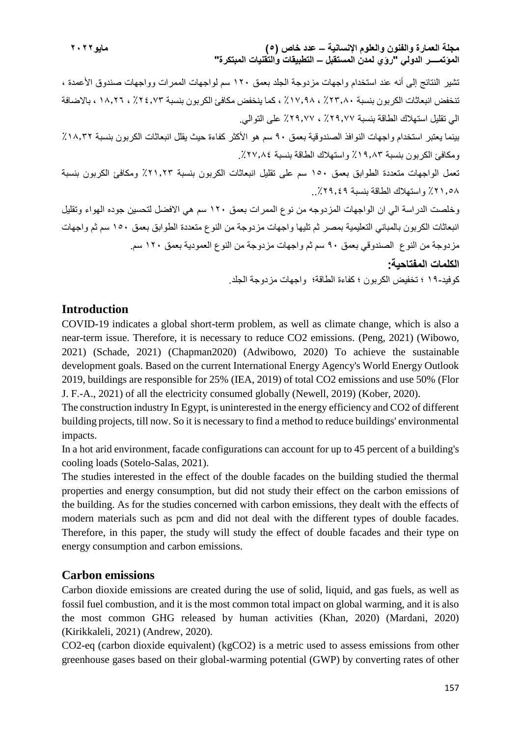**مجلة العمارة والفنون والعلوم اإلنسانية – عدد خاص )5( مايو2022 المؤتمــــر الدولي "رؤي لمدن المستقبل – التطبيقات والتقنيات المبتكرة"**

تشير النتائج إلى أنه عند استخدام واجهات مزدوجة الجلد بعمق 120 سم لواجهات الممرات وواجهات صندوق األعمدة ، تنخفض انبعاثات الكربون بنسبة ٪23.80 ، ٪17.98 ، كما ينخفض مكافئ الكربون بنسبة ٪24.73 ، 18.26 ، باالضافة الي تقليل استهالك الطاقة بنسبة ٪29.77 ، ٪29.77 على التوالي. بينما يعتبر استخدام واجهات النوافذ الصندوقية بعمق ٩٠ سم هو الأكثر كفاءة حيث يقلل انبعاثات الكربون بنسبة ١٨.٢٢٪ ومكافئ الكربون بنسبة ٪١٩,٨ ٪ واستهلاك الطاقة بنسبة ٢٧,٨٤٪ تعمل الواجهات متعددة الطوابق بعمق 150 سم على تقليل انبعاثات الكربون بنسبة ٪21.23 ومكافئ الكربون بنسبة ٪21.58 واستهالك الطاقة بنسبة ..٪29.49 وخلصت الدراسة الي ان الواجهات المزدوجه من نوع الممرات بعمق 120 سم هي االفضل لتحسين جوده الهواء وتقليل انبعاثات الكربون بالمباني التعليمية بمصر ثم تليها واجهات مزدوجة من النوع متعددة الطوابق بعمق 150 سم ثم واجهات مزدوجة من النوع الصندوقي بعمق 90 سم ثم واجهات مزدوجة من النوع العمودية بعمق 120 سم. **الكلمات المفتاحية:** كوفيد19- ؛ تخفيض الكربون ؛ كفاءة الطاقة؛ واجهات مزدوجة الجلد.

#### **Introduction**

COVID-19 indicates a global short-term problem, as well as climate change, which is also a near-term issue. Therefore, it is necessary to reduce CO2 emissions. (Peng, 2021) (Wibowo, 2021) (Schade, 2021) (Chapman2020) (Adwibowo, 2020) To achieve the sustainable development goals. Based on the current International Energy Agency's World Energy Outlook 2019, buildings are responsible for 25% (IEA, 2019) of total CO2 emissions and use 50% (Flor J. F.-A., 2021) of all the electricity consumed globally (Newell, 2019) (Kober, 2020).

The construction industry In Egypt, is uninterested in the energy efficiency and CO2 of different building projects, till now. So it is necessary to find a method to reduce buildings' environmental impacts.

In a hot arid environment, facade configurations can account for up to 45 percent of a building's cooling loads (Sotelo-Salas, 2021).

The studies interested in the effect of the double facades on the building studied the thermal properties and energy consumption, but did not study their effect on the carbon emissions of the building. As for the studies concerned with carbon emissions, they dealt with the effects of modern materials such as pcm and did not deal with the different types of double facades. Therefore, in this paper, the study will study the effect of double facades and their type on energy consumption and carbon emissions.

### **Carbon emissions**

Carbon dioxide emissions are created during the use of solid, liquid, and gas fuels, as well as fossil fuel combustion, and it is the most common total impact on global warming, and it is also the most common GHG released by human activities (Khan, 2020) (Mardani, 2020) (Kirikkaleli, 2021) (Andrew, 2020).

CO2-eq (carbon dioxide equivalent) (kgCO2) is a metric used to assess emissions from other greenhouse gases based on their global-warming potential (GWP) by converting rates of other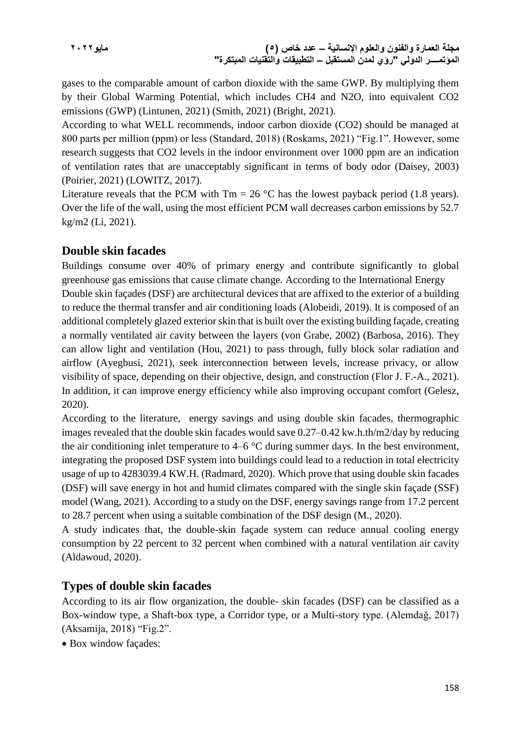gases to the comparable amount of carbon dioxide with the same GWP. By multiplying them by their Global Warming Potential, which includes CH4 and N2O, into equivalent CO2 emissions (GWP) (Lintunen, 2021) (Smith, 2021) (Bright, 2021).

According to what WELL recommends, indoor carbon dioxide (CO2) should be managed at 800 parts per million (ppm) or less (Standard, 2018) (Roskams, 2021) "Fig.1". However, some research suggests that CO2 levels in the indoor environment over 1000 ppm are an indication of ventilation rates that are unacceptably significant in terms of body odor (Daisey, 2003) (Poirier, 2021) (LOWITZ, 2017).

Literature reveals that the PCM with  $Tm = 26$  °C has the lowest payback period (1.8 years). Over the life of the wall, using the most efficient PCM wall decreases carbon emissions by 52.7 kg/m2 (Li, 2021).

### **Double skin facades**

Buildings consume over 40% of primary energy and contribute significantly to global greenhouse gas emissions that cause climate change. According to the International Energy Double skin façades (DSF) are architectural devices that are affixed to the exterior of a building to reduce the thermal transfer and air conditioning loads (Alobeidi, 2019). It is composed of an additional completely glazed exterior skin that is built over the existing building façade, creating a normally ventilated air cavity between the layers (von Grabe, 2002) (Barbosa, 2016). They can allow light and ventilation (Hou, 2021) to pass through, fully block solar radiation and airflow (Ayegbusi, 2021), seek interconnection between levels, increase privacy, or allow visibility of space, depending on their objective, design, and construction (Flor J. F.-A., 2021). In addition, it can improve energy efficiency while also improving occupant comfort (Gelesz, 2020).

According to the literature, energy savings and using double skin facades, thermographic images revealed that the double skin facades would save 0.27–0.42 kw.h.th/m2/day by reducing the air conditioning inlet temperature to 4–6 °C during summer days. In the best environment, integrating the proposed DSF system into buildings could lead to a reduction in total electricity usage of up to 4283039.4 KW.H. (Radmard, 2020). Which prove that using double skin facades (DSF) will save energy in hot and humid climates compared with the single skin façade (SSF) model (Wang, 2021). According to a study on the DSF, energy savings range from 17.2 percent to 28.7 percent when using a suitable combination of the DSF design (M., 2020).

A study indicates that, the double-skin façade system can reduce annual cooling energy consumption by 22 percent to 32 percent when combined with a natural ventilation air cavity (Aldawoud, 2020).

## **Types of double skin facades**

According to its air flow organization, the double- skin facades (DSF) can be classified as a Box-window type, a Shaft-box type, a Corridor type, or a Multi-story type. (Alemdağ, 2017) (Aksamija, 2018) "Fig.2".

Box window façades: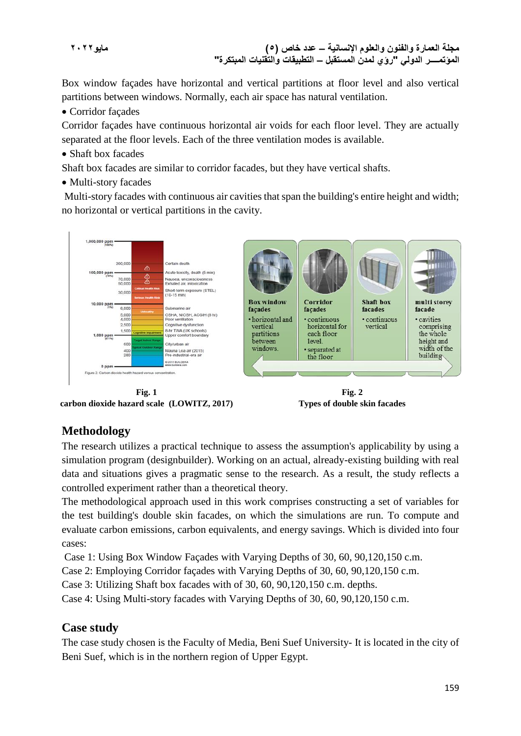**مجلة العمارة والفنون والعلوم اإلنسانية – عدد خاص )5( مايو2022 المؤتمــــر الدولي "رؤي لمدن المستقبل – التطبيقات والتقنيات المبتكرة"**

Box window façades have horizontal and vertical partitions at floor level and also vertical partitions between windows. Normally, each air space has natural ventilation.

Corridor façades

Corridor façades have continuous horizontal air voids for each floor level. They are actually separated at the floor levels. Each of the three ventilation modes is available.

• Shaft box facades

Shaft box facades are similar to corridor facades, but they have vertical shafts.

• Multi-story facades

Multi-story facades with continuous air cavities that span the building's entire height and width; no horizontal or vertical partitions in the cavity.



**Fig. 1 carbon dioxide hazard scale (LOWITZ, 2017)**

**Fig. 2 Types of double skin facades**

## **Methodology**

The research utilizes a practical technique to assess the assumption's applicability by using a simulation program (designbuilder). Working on an actual, already-existing building with real data and situations gives a pragmatic sense to the research. As a result, the study reflects a controlled experiment rather than a theoretical theory.

The methodological approach used in this work comprises constructing a set of variables for the test building's double skin facades, on which the simulations are run. To compute and evaluate carbon emissions, carbon equivalents, and energy savings. Which is divided into four cases:

Case 1: Using Box Window Façades with Varying Depths of 30, 60, 90,120,150 c.m.

Case 2: Employing Corridor façades with Varying Depths of 30, 60, 90,120,150 c.m.

Case 3: Utilizing Shaft box facades with of 30, 60, 90,120,150 c.m. depths.

Case 4: Using Multi-story facades with Varying Depths of 30, 60, 90,120,150 c.m.

### **Case study**

The case study chosen is the Faculty of Media, Beni Suef University- It is located in the city of Beni Suef, which is in the northern region of Upper Egypt.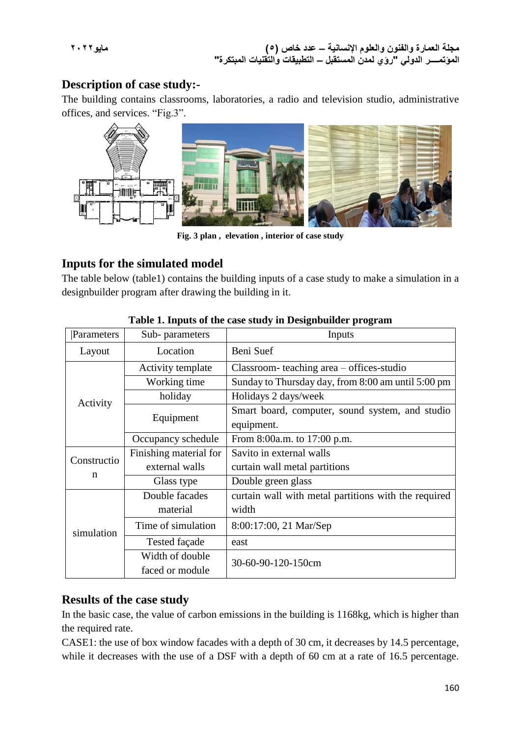### **Description of case study:-**

The building contains classrooms, laboratories, a radio and television studio, administrative offices, and services. "Fig.3".



**Fig. 3 plan , elevation , interior of case study**

### **Inputs for the simulated model**

The table below (table1) contains the building inputs of a case study to make a simulation in a designbuilder program after drawing the building in it.

| Parameters  | Sub-parameters         | Inputs                                               |  |  |
|-------------|------------------------|------------------------------------------------------|--|--|
| Layout      | Location               | Beni Suef                                            |  |  |
|             | Activity template      | Classroom-teaching area - offices-studio             |  |  |
|             | Working time           | Sunday to Thursday day, from 8:00 am until 5:00 pm   |  |  |
| Activity    | holiday                | Holidays 2 days/week                                 |  |  |
|             | Equipment              | Smart board, computer, sound system, and studio      |  |  |
|             |                        | equipment.                                           |  |  |
|             | Occupancy schedule     | From 8:00a.m. to 17:00 p.m.                          |  |  |
| Constructio | Finishing material for | Savito in external walls                             |  |  |
| n           | external walls         | curtain wall metal partitions                        |  |  |
|             | Glass type             | Double green glass                                   |  |  |
|             | Double facades         | curtain wall with metal partitions with the required |  |  |
|             | material               | width                                                |  |  |
| simulation  | Time of simulation     | 8:00:17:00, 21 Mar/Sep                               |  |  |
|             | Tested façade          | east                                                 |  |  |
|             | Width of double        | 30-60-90-120-150cm                                   |  |  |
|             | faced or module        |                                                      |  |  |

#### **Table 1. Inputs of the case study in Designbuilder program**

### **Results of the case study**

In the basic case, the value of carbon emissions in the building is 1168kg, which is higher than the required rate.

CASE1: the use of box window facades with a depth of 30 cm, it decreases by 14.5 percentage, while it decreases with the use of a DSF with a depth of 60 cm at a rate of 16.5 percentage.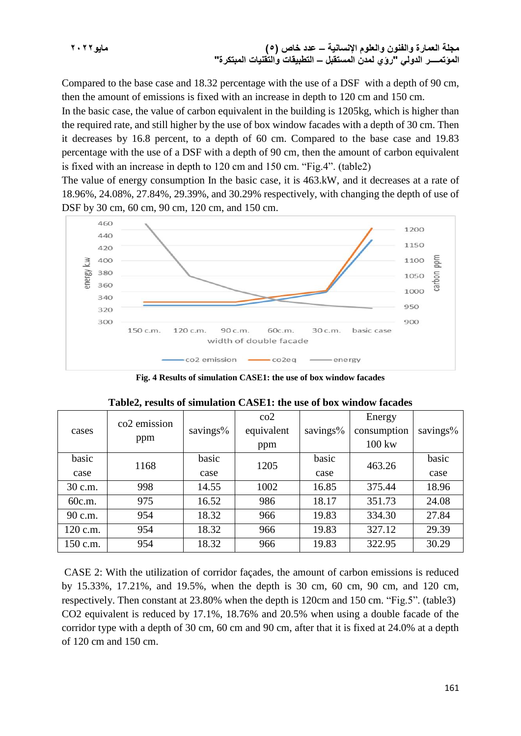**مجلة العمارة والفنون والعلوم اإلنسانية – عدد خاص )5( مايو2022 المؤتمــــر الدولي "رؤي لمدن المستقبل – التطبيقات والتقنيات المبتكرة"**

Compared to the base case and 18.32 percentage with the use of a DSF with a depth of 90 cm, then the amount of emissions is fixed with an increase in depth to 120 cm and 150 cm.

In the basic case, the value of carbon equivalent in the building is 1205kg, which is higher than the required rate, and still higher by the use of box window facades with a depth of 30 cm. Then it decreases by 16.8 percent, to a depth of 60 cm. Compared to the base case and 19.83 percentage with the use of a DSF with a depth of 90 cm, then the amount of carbon equivalent is fixed with an increase in depth to 120 cm and 150 cm. "Fig.4". (table2)

The value of energy consumption In the basic case, it is 463.kW, and it decreases at a rate of 18.96%, 24.08%, 27.84%, 29.39%, and 30.29% respectively, with changing the depth of use of DSF by 30 cm, 60 cm, 90 cm, 120 cm, and 150 cm.



**Fig. 4 Results of simulation CASE1: the use of box window facades**

|          | co <sub>2</sub> emission |          | $\rm{co2}$ |          | Energy           |          |  |
|----------|--------------------------|----------|------------|----------|------------------|----------|--|
| cases    |                          | savings% | equivalent | savings% | consumption      | savings% |  |
|          | ppm                      |          | ppm        |          | $100 \text{ kw}$ |          |  |
| basic    | 1168                     | basic    | 1205       | basic    | 463.26           | basic    |  |
| case     |                          | case     |            | case     |                  | case     |  |
| 30 c.m.  | 998                      | 14.55    | 1002       | 16.85    | 375.44           | 18.96    |  |
| 60c.m.   | 975                      | 16.52    | 986        | 18.17    | 351.73           | 24.08    |  |
| 90 c.m.  | 954                      | 18.32    | 966        | 19.83    | 334.30           | 27.84    |  |
| 120 c.m. | 954                      | 18.32    | 966        | 19.83    | 327.12           | 29.39    |  |
| 150 c.m. | 954                      | 18.32    | 966        | 19.83    | 322.95           | 30.29    |  |

|  |  |  | Table2, results of simulation CASE1: the use of box window facades |  |  |  |  |  |  |  |  |  |
|--|--|--|--------------------------------------------------------------------|--|--|--|--|--|--|--|--|--|
|--|--|--|--------------------------------------------------------------------|--|--|--|--|--|--|--|--|--|

CASE 2: With the utilization of corridor façades, the amount of carbon emissions is reduced by 15.33%, 17.21%, and 19.5%, when the depth is 30 cm, 60 cm, 90 cm, and 120 cm, respectively. Then constant at 23.80% when the depth is 120cm and 150 cm. "Fig.5". (table3) CO2 equivalent is reduced by 17.1%, 18.76% and 20.5% when using a double facade of the corridor type with a depth of 30 cm, 60 cm and 90 cm, after that it is fixed at 24.0% at a depth of 120 cm and 150 cm.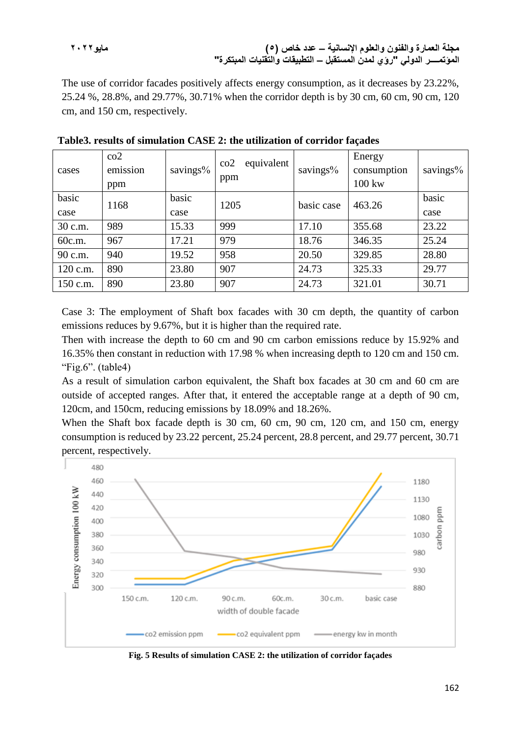**مجلة العمارة والفنون والعلوم اإلنسانية – عدد خاص )5( مايو2022 المؤتمــــر الدولي "رؤي لمدن المستقبل – التطبيقات والتقنيات المبتكرة"**

The use of corridor facades positively affects energy consumption, as it decreases by 23.22%, 25.24 %, 28.8%, and 29.77%, 30.71% when the corridor depth is by 30 cm, 60 cm, 90 cm, 120 cm, and 150 cm, respectively.

| cases    | $\rm{co2}$<br>emission<br>ppm | savings% | equivalent<br>$\rm{co2}$<br>ppm | savings%   | Energy<br>consumption<br>100 kw | savings $%$ |
|----------|-------------------------------|----------|---------------------------------|------------|---------------------------------|-------------|
| basic    | 1168                          | basic    | 1205                            | basic case | 463.26                          | basic       |
| case     |                               | case     |                                 |            |                                 | case        |
| 30 c.m.  | 989                           | 15.33    | 999                             | 17.10      | 355.68                          | 23.22       |
| 60c.m.   | 967                           | 17.21    | 979                             | 18.76      | 346.35                          | 25.24       |
| 90 c.m.  | 940                           | 19.52    | 958                             | 20.50      | 329.85                          | 28.80       |
| 120 c.m. | 890                           | 23.80    | 907                             | 24.73      | 325.33                          | 29.77       |
| 150 c.m. | 890                           | 23.80    | 907                             | 24.73      | 321.01                          | 30.71       |

**Table3. results of simulation CASE 2: the utilization of corridor façades**

Case 3: The employment of Shaft box facades with 30 cm depth, the quantity of carbon emissions reduces by 9.67%, but it is higher than the required rate.

Then with increase the depth to 60 cm and 90 cm carbon emissions reduce by 15.92% and 16.35% then constant in reduction with 17.98 % when increasing depth to 120 cm and 150 cm. "Fig.6". (table4)

As a result of simulation carbon equivalent, the Shaft box facades at 30 cm and 60 cm are outside of accepted ranges. After that, it entered the acceptable range at a depth of 90 cm, 120cm, and 150cm, reducing emissions by 18.09% and 18.26%.

When the Shaft box facade depth is 30 cm, 60 cm, 90 cm, 120 cm, and 150 cm, energy consumption is reduced by 23.22 percent, 25.24 percent, 28.8 percent, and 29.77 percent, 30.71 percent, respectively.



**Fig. 5 Results of simulation CASE 2: the utilization of corridor façades**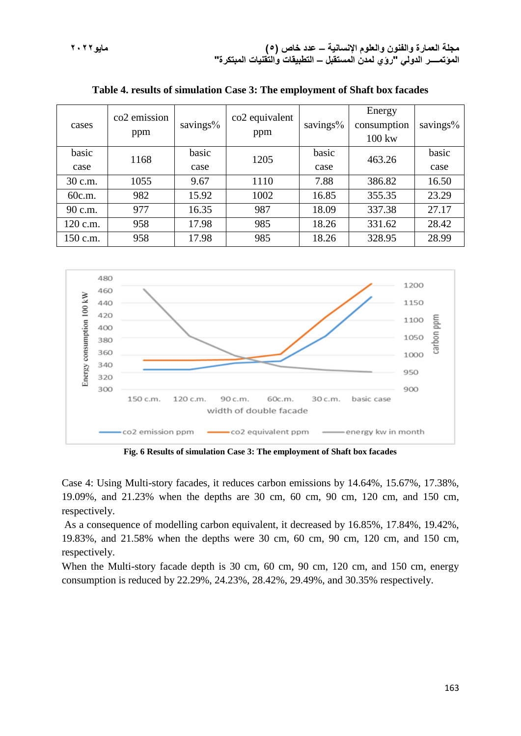| cases    | co <sub>2</sub> emission<br>ppm | savings% | co2 equivalent<br>ppm | savings% | Energy<br>consumption<br>$100 \text{ kw}$ | savings% |
|----------|---------------------------------|----------|-----------------------|----------|-------------------------------------------|----------|
| basic    | 1168                            | basic    | 1205                  | basic    | 463.26                                    | basic    |
| case     |                                 | case     |                       | case     |                                           | case     |
| 30 c.m.  | 1055                            | 9.67     | 1110                  | 7.88     | 386.82                                    | 16.50    |
| 60c.m.   | 982                             | 15.92    | 1002                  | 16.85    | 355.35                                    | 23.29    |
| 90 c.m.  | 977                             | 16.35    | 987                   | 18.09    | 337.38                                    | 27.17    |
| 120 c.m. | 958                             | 17.98    | 985                   | 18.26    | 331.62                                    | 28.42    |
| 150 c.m. | 958                             | 17.98    | 985                   | 18.26    | 328.95                                    | 28.99    |

**Table 4. results of simulation Case 3: The employment of Shaft box facades**



**Fig. 6 Results of simulation Case 3: The employment of Shaft box facades**

Case 4: Using Multi-story facades, it reduces carbon emissions by 14.64%, 15.67%, 17.38%, 19.09%, and 21.23% when the depths are 30 cm, 60 cm, 90 cm, 120 cm, and 150 cm, respectively.

As a consequence of modelling carbon equivalent, it decreased by 16.85%, 17.84%, 19.42%, 19.83%, and 21.58% when the depths were 30 cm, 60 cm, 90 cm, 120 cm, and 150 cm, respectively.

When the Multi-story facade depth is 30 cm, 60 cm, 90 cm, 120 cm, and 150 cm, energy consumption is reduced by 22.29%, 24.23%, 28.42%, 29.49%, and 30.35% respectively.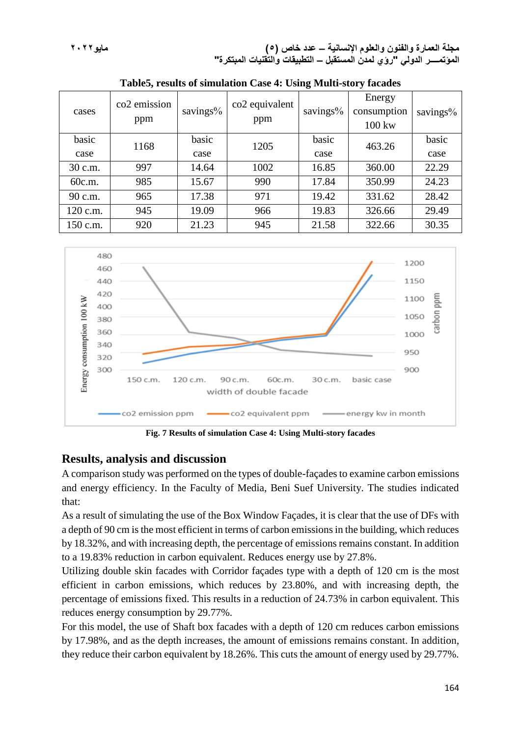**مجلة العمارة والفنون والعلوم اإلنسانية – عدد خاص )5( مايو2022 المؤتمــــر الدولي "رؤي لمدن المستقبل – التطبيقات والتقنيات المبتكرة"**

| cases    | co <sub>2</sub> emission<br>ppm | savings% | co2 equivalent<br>ppm | savings% | Energy<br>consumption<br>$100 \text{ kw}$ | savings% |
|----------|---------------------------------|----------|-----------------------|----------|-------------------------------------------|----------|
| basic    | 1168                            | basic    | 1205                  | basic    | 463.26                                    | basic    |
| case     |                                 | case     |                       | case     |                                           | case     |
| 30 c.m.  | 997                             | 14.64    | 1002                  | 16.85    | 360.00                                    | 22.29    |
| 60c.m.   | 985                             | 15.67    | 990                   | 17.84    | 350.99                                    | 24.23    |
| 90 c.m.  | 965                             | 17.38    | 971                   | 19.42    | 331.62                                    | 28.42    |
| 120 c.m. | 945                             | 19.09    | 966                   | 19.83    | 326.66                                    | 29.49    |
| 150 c.m. | 920                             | 21.23    | 945                   | 21.58    | 322.66                                    | 30.35    |

**Table5, results of simulation Case 4: Using Multi-story facades**



**Fig. 7 Results of simulation Case 4: Using Multi-story facades**

### **Results, analysis and discussion**

A comparison study was performed on the types of double-façades to examine carbon emissions and energy efficiency. In the Faculty of Media, Beni Suef University. The studies indicated that:

As a result of simulating the use of the Box Window Façades, it is clear that the use of DFs with a depth of 90 cm is the most efficient in terms of carbon emissions in the building, which reduces by 18.32%, and with increasing depth, the percentage of emissions remains constant. In addition to a 19.83% reduction in carbon equivalent. Reduces energy use by 27.8%.

Utilizing double skin facades with Corridor façades type with a depth of 120 cm is the most efficient in carbon emissions, which reduces by 23.80%, and with increasing depth, the percentage of emissions fixed. This results in a reduction of 24.73% in carbon equivalent. This reduces energy consumption by 29.77%.

For this model, the use of Shaft box facades with a depth of 120 cm reduces carbon emissions by 17.98%, and as the depth increases, the amount of emissions remains constant. In addition, they reduce their carbon equivalent by 18.26%. This cuts the amount of energy used by 29.77%.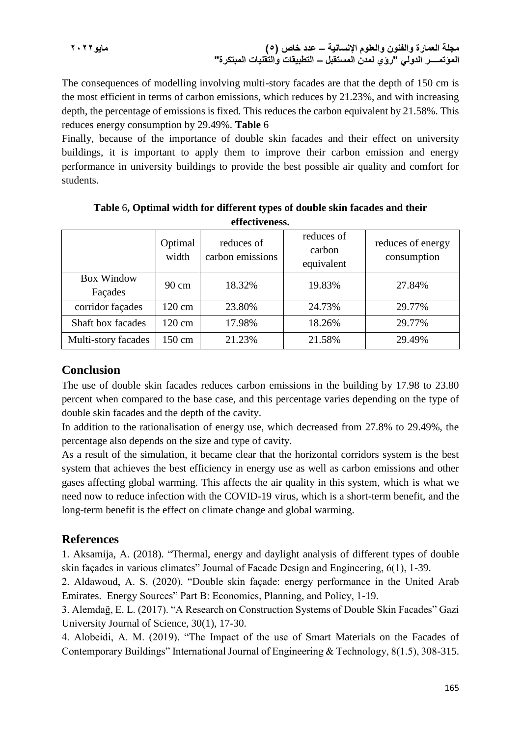**مجلة العمارة والفنون والعلوم اإلنسانية – عدد خاص )5( مايو2022 المؤتمــــر الدولي "رؤي لمدن المستقبل – التطبيقات والتقنيات المبتكرة"**

The consequences of modelling involving multi-story facades are that the depth of 150 cm is the most efficient in terms of carbon emissions, which reduces by 21.23%, and with increasing depth, the percentage of emissions is fixed. This reduces the carbon equivalent by 21.58%. This reduces energy consumption by 29.49%. **Table** 6

Finally, because of the importance of double skin facades and their effect on university buildings, it is important to apply them to improve their carbon emission and energy performance in university buildings to provide the best possible air quality and comfort for students.

|                              | Optimal<br>width | reduces of<br>carbon emissions | reduces of<br>carbon<br>equivalent | reduces of energy<br>consumption |
|------------------------------|------------------|--------------------------------|------------------------------------|----------------------------------|
| <b>Box Window</b><br>Façades | $90 \text{ cm}$  | 18.32%                         | 19.83%                             | 27.84%                           |
| corridor façades             | 120 cm           | 23.80%                         | 24.73%                             | 29.77%                           |
| Shaft box facades            | 120 cm           | 17.98%                         | 18.26%                             | 29.77%                           |
| Multi-story facades          | 150 cm           | 21.23%                         | 21.58%                             | 29.49%                           |

**Table** 6**, Optimal width for different types of double skin facades and their effectiveness.**

### **Conclusion**

The use of double skin facades reduces carbon emissions in the building by 17.98 to 23.80 percent when compared to the base case, and this percentage varies depending on the type of double skin facades and the depth of the cavity.

In addition to the rationalisation of energy use, which decreased from 27.8% to 29.49%, the percentage also depends on the size and type of cavity.

As a result of the simulation, it became clear that the horizontal corridors system is the best system that achieves the best efficiency in energy use as well as carbon emissions and other gases affecting global warming. This affects the air quality in this system, which is what we need now to reduce infection with the COVID-19 virus, which is a short-term benefit, and the long-term benefit is the effect on climate change and global warming.

### **References**

1. Aksamija, A. (2018). "Thermal, energy and daylight analysis of different types of double skin façades in various climates" Journal of Facade Design and Engineering, 6(1), 1-39.

2. Aldawoud, A. S. (2020). "Double skin façade: energy performance in the United Arab Emirates. Energy Sources" Part B: Economics, Planning, and Policy, 1-19.

3. Alemdağ, E. L. (2017). "A Research on Construction Systems of Double Skin Facades" Gazi University Journal of Science, 30(1), 17-30.

4. Alobeidi, A. M. (2019). "The Impact of the use of Smart Materials on the Facades of Contemporary Buildings" International Journal of Engineering & Technology, 8(1.5), 308-315.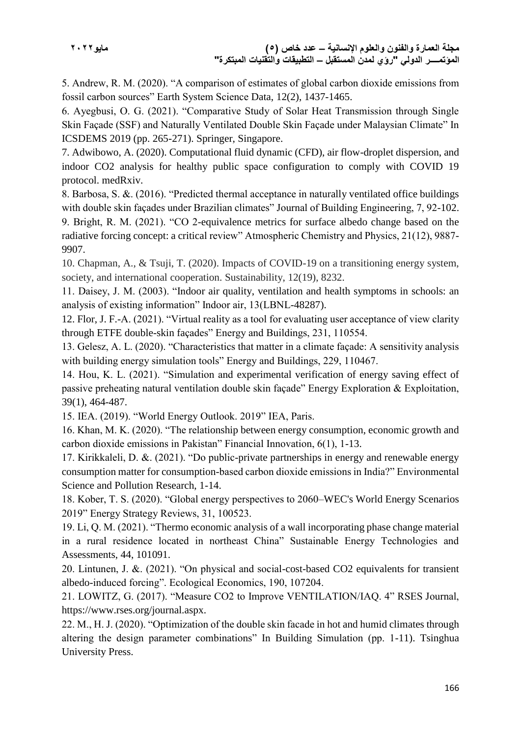5. Andrew, R. M. (2020). "A comparison of estimates of global carbon dioxide emissions from fossil carbon sources" Earth System Science Data, 12(2), 1437-1465.

6. Ayegbusi, O. G. (2021). "Comparative Study of Solar Heat Transmission through Single Skin Façade (SSF) and Naturally Ventilated Double Skin Façade under Malaysian Climate" In ICSDEMS 2019 (pp. 265-271). Springer, Singapore.

7. Adwibowo, A. (2020). Computational fluid dynamic (CFD), air flow-droplet dispersion, and indoor CO2 analysis for healthy public space configuration to comply with COVID 19 protocol. medRxiv.

8. Barbosa, S. &. (2016). "Predicted thermal acceptance in naturally ventilated office buildings with double skin façades under Brazilian climates" Journal of Building Engineering, 7, 92-102. 9. Bright, R. M. (2021). "CO 2-equivalence metrics for surface albedo change based on the radiative forcing concept: a critical review" Atmospheric Chemistry and Physics, 21(12), 9887- 9907.

10. Chapman, A., & Tsuji, T. (2020). Impacts of COVID-19 on a transitioning energy system, society, and international cooperation. Sustainability, 12(19), 8232.

11. Daisey, J. M. (2003). "Indoor air quality, ventilation and health symptoms in schools: an analysis of existing information" Indoor air, 13(LBNL-48287).

12. Flor, J. F.-A. (2021). "Virtual reality as a tool for evaluating user acceptance of view clarity through ETFE double-skin façades" Energy and Buildings, 231, 110554.

13. Gelesz, A. L. (2020). "Characteristics that matter in a climate façade: A sensitivity analysis with building energy simulation tools" Energy and Buildings, 229, 110467.

14. Hou, K. L. (2021). "Simulation and experimental verification of energy saving effect of passive preheating natural ventilation double skin façade" Energy Exploration & Exploitation, 39(1), 464-487.

15. IEA. (2019). "World Energy Outlook. 2019" IEA, Paris.

16. Khan, M. K. (2020). "The relationship between energy consumption, economic growth and carbon dioxide emissions in Pakistan" Financial Innovation, 6(1), 1-13.

17. Kirikkaleli, D. &. (2021). "Do public-private partnerships in energy and renewable energy consumption matter for consumption-based carbon dioxide emissions in India?" Environmental Science and Pollution Research, 1-14.

18. Kober, T. S. (2020). "Global energy perspectives to 2060–WEC's World Energy Scenarios 2019" Energy Strategy Reviews, 31, 100523.

19. Li, Q. M. (2021). "Thermo economic analysis of a wall incorporating phase change material in a rural residence located in northeast China" Sustainable Energy Technologies and Assessments, 44, 101091.

20. Lintunen, J. &. (2021). "On physical and social-cost-based CO2 equivalents for transient albedo-induced forcing". Ecological Economics, 190, 107204.

21. LOWITZ, G. (2017). "Measure CO2 to Improve VENTILATION/IAQ. 4" RSES Journal, https://www.rses.org/journal.aspx.

22. M., H. J. (2020). "Optimization of the double skin facade in hot and humid climates through altering the design parameter combinations" In Building Simulation (pp. 1-11). Tsinghua University Press.